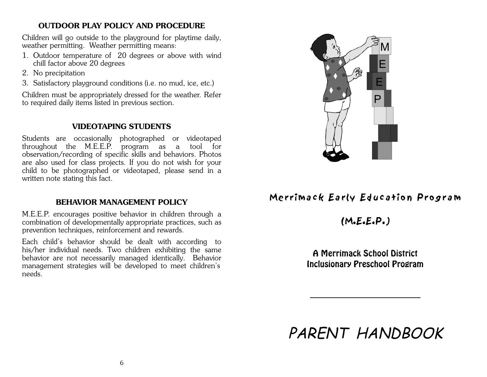### **OUTDOOR PLAY POLICY AND PROCEDURE**

Children will go outside to the playground for playtime daily, weather permitting. Weather permitting means:

- 1. Outdoor temperature of 20 degrees or above with wind chill factor above 20 degrees
- 2. No precipitation
- 3. Satisfactory playground conditions (i.e. no mud, ice, etc.)

Children must be appropriately dressed for the weather. Refer to required daily items listed in previous section.

## **VIDEOTAPING STUDENTS**

Students are occasionally photographed or videotaped throughout the M.E.E.P. program as a tool for observation/recording of specific skills and behaviors. Photos are also used for class projects. If you do not wish for your child to be photographed or videotaped, please send in a written note stating this fact.

## **BEHAVIOR MANAGEMENT POLICY**

M.E.E.P. encourages positive behavior in children through a combination of developmentally appropriate practices, such as prevention techniques, reinforcement and rewards.

Each child's behavior should be dealt with according to his/her individual needs. Two children exhibiting the same behavior are not necessarily managed identically. Behavior management strategies will be developed to meet children's needs.



# Merrimack Early Education Program

 $(M.E.E.P.)$ 

A Merrimack School DistrictInclusionary Preschool Program

PARENT HANDBOOK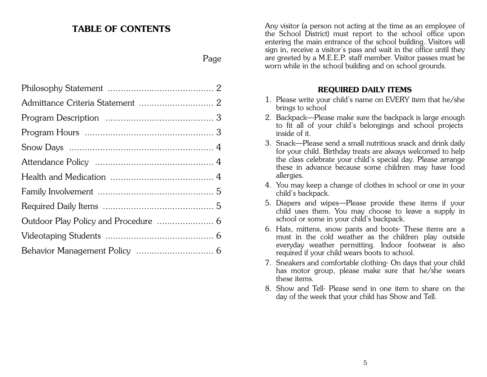## **TABLE OF CONTENTS**

## Page

Any visitor (a person not acting at the time as an employee of the School District) must report to the school office upon entering the main entrance of the school building. Visitors will sign in, receive a visitor's pass and wait in the office until they are greeted by a M.E.E.P. staff member. Visitor passes must be worn while in the school building and on school grounds.

## **REQUIRED DAILY ITEMS**

- 1. Please write your child's name on EVERY item that he/she brings to school
- 2. Backpack—Please make sure the backpack is large enough to fit all of your child's belongings and school projects inside of it.
- 3. Snack—Please send a small nutritious snack and drink daily for your child. Birthday treats are always welcomed to help the class celebrate your child's special day. Please arrange these in advance because some children may have food allergies.
- 4. You may keep a change of clothes in school or one in your child's backpack.
- 5. Diapers and wipes—Please provide these items if your child uses them. You may choose to leave a supply in school or some in your child's backpack.
- 6. Hats, mittens, snow pants and boots- These items are a must in the cold weather as the children play outside everyday weather permitting. Indoor footwear is also required if your child wears boots to school.
- 7. Sneakers and comfortable clothing- On days that your child has motor group, please make sure that he/she wears these items.
- 8. Show and Tell- Please send in one item to share on theday of the week that your child has Show and Tell.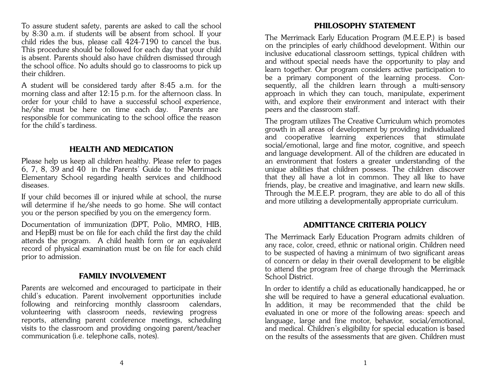To assure student safety, parents are asked to call the school by 8:30 a.m. if students will be absent from school. If your child rides the bus, please call 424-7190 to cancel the bus. This procedure should be followed for each day that your child is absent. Parents should also have children dismissed through the school office. No adults should go to classrooms to pick up their children.

A student will be considered tardy after 8:45 a.m. for the morning class and after 12:15 p.m. for the afternoon class. In order for your child to have a successful school experience, he/she must be here on time each day. Parents are responsible for communicating to the school office the reason for the child's tardiness.

### **HEALTH AND MEDICATION**

Please help us keep all children healthy. Please refer to pages 6, 7, 8, 39 and 40 in the Parents' Guide to the Merrimack Elementary School regarding health services and childhood diseases.

If your child becomes ill or injured while at school, the nurse will determine if he/she needs to go home. She will contact you or the person specified by you on the emergency form.

Documentation of immunization (DPT, Polio, MMRO, HIB, and HepB) must be on file for each child the first day the child attends the program. A child health form or an equivalent record of physical examination must be on file for each child prior to admission.

## **FAMILY INVOLVEMENT**

Parents are welcomed and encouraged to participate in their child's education. Parent involvement opportunities include following and reinforcing monthly classroom calendars, volunteering with classroom needs, reviewing progress reports, attending parent conference meetings, scheduling visits to the classroom and providing ongoing parent/teacher communication (i.e. telephone calls, notes).

### **PHILOSOPHY STATEMENT**

The Merrimack Early Education Program (M.E.E.P.) is based on the principles of early childhood development. Within our inclusive educational classroom settings, typical children with and without special needs have the opportunity to play and learn together. Our program considers active participation to be a primary component of the learning process. Consequently, all the children learn through a multi-sensory approach in which they can touch, manipulate, experiment with, and explore their environment and interact with their peers and the classroom staff.

The program utilizes The Creative Curriculum which promotes growth in all areas of development by providing individualized and cooperative learning experiences that stimulate social/emotional, large and fine motor, cognitive, and speech and language development. All of the children are educated in an environment that fosters a greater understanding of the unique abilities that children possess. The children discover that they all have a lot in common. They all like to have friends, play, be creative and imaginative, and learn new skills. Through the M.E.E.P. program, they are able to do all of this and more utilizing a developmentally appropriate curriculum.

#### **ADMITTANCE CRITERIA POLICY**

The Merrimack Early Education Program admits children of any race, color, creed, ethnic or national origin. Children need to be suspected of having a minimum of two significant areas of concern or delay in their overall development to be eligible to attend the program free of charge through the Merrimack School District.

In order to identify a child as educationally handicapped, he or she will be required to have a general educational evaluation. In addition, it may be recommended that the child be evaluated in one or more of the following areas: speech and language, large and fine motor, behavior, social/emotional, and medical. Children's eligibility for special education is based on the results of the assessments that are given. Children must